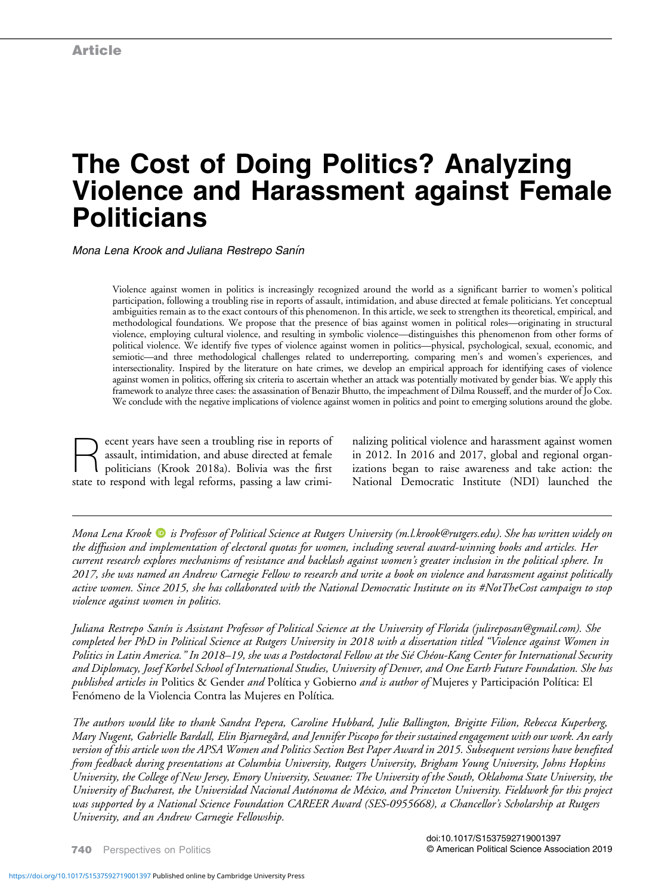# The Cost of Doing Politics? Analyzing Violence and Harassment against Female **Politicians**

Mona Lena Krook and Juliana Restrepo Sanín

Violence against women in politics is increasingly recognized around the world as a significant barrier to women's political participation, following a troubling rise in reports of assault, intimidation, and abuse directed at female politicians. Yet conceptual ambiguities remain as to the exact contours of this phenomenon. In this article, we seek to strengthen its theoretical, empirical, and methodological foundations. We propose that the presence of bias against women in political roles—originating in structural violence, employing cultural violence, and resulting in symbolic violence—distinguishes this phenomenon from other forms of political violence. We identify five types of violence against women in politics—physical, psychological, sexual, economic, and semiotic—and three methodological challenges related to underreporting, comparing men's and women's experiences, and intersectionality. Inspired by the literature on hate crimes, we develop an empirical approach for identifying cases of violence against women in politics, offering six criteria to ascertain whether an attack was potentially motivated by gender bias. We apply this framework to analyze three cases: the assassination of Benazir Bhutto, the impeachment of Dilma Rousseff, and the murder of Jo Cox. We conclude with the negative implications of violence against women in politics and point to emerging solutions around the globe.

ecent years have seen a troubling rise in reports of assault, intimidation, and abuse directed at female politicians (Krook 2018a). Bolivia was the first state to respond with legal reforms, passing a law crimi-

nalizing political violence and harassment against women in 2012. In 2016 and 2017, global and regional organizations began to raise awareness and take action: the National Democratic Institute (NDI) launched the

Mona Lena Krook  $\bullet$  is Professor of Political Science at Rutgers University ([m.l.krook@rutgers.edu\)](mailto:m.l.krook@rutgers.edu). She has written widely on the diffusion and implementation of electoral quotas for women, including several award-winning books and articles. Her current research explores mechanisms of resistance and backlash against women's greater inclusion in the political sphere. In 2017, she was named an Andrew Carnegie Fellow to research and write a book on violence and harassment against politically active women. Since 2015, she has collaborated with the National Democratic Institute on its #NotTheCost campaign to stop violence against women in politics.

Juliana Restrepo Sanín is Assistant Professor of Political Science at the University of Florida ([julireposan@gmail.com](mailto:julireposan@gmail.com)). She completed her PhD in Political Science at Rutgers University in 2018 with a dissertation titled "Violence against Women in Politics in Latin America." In 2018–19, she was a Postdoctoral Fellow at the Sié Chéou-Kang Center for International Security and Diplomacy, Josef Korbel School of International Studies, University of Denver, and One Earth Future Foundation. She has published articles in Politics & Gender and Política y Gobierno and is author of Mujeres y Participación Política: El Fenómeno de la Violencia Contra las Mujeres en Política.

The authors would like to thank Sandra Pepera, Caroline Hubbard, Julie Ballington, Brigitte Filion, Rebecca Kuperberg, Mary Nugent, Gabrielle Bardall, Elin Bjarnegård, and Jennifer Piscopo for their sustained engagement with our work. An early version of this article won the APSA Women and Politics Section Best Paper Award in 2015. Subsequent versions have benefited from feedback during presentations at Columbia University, Rutgers University, Brigham Young University, Johns Hopkins University, the College of New Jersey, Emory University, Sewanee: The University of the South, Oklahoma State University, the University of Bucharest, the Universidad Nacional Autónoma de México, and Princeton University. Fieldwork for this project was supported by a National Science Foundation CAREER Award (SES-0955668), a Chancellor's Scholarship at Rutgers University, and an Andrew Carnegie Fellowship.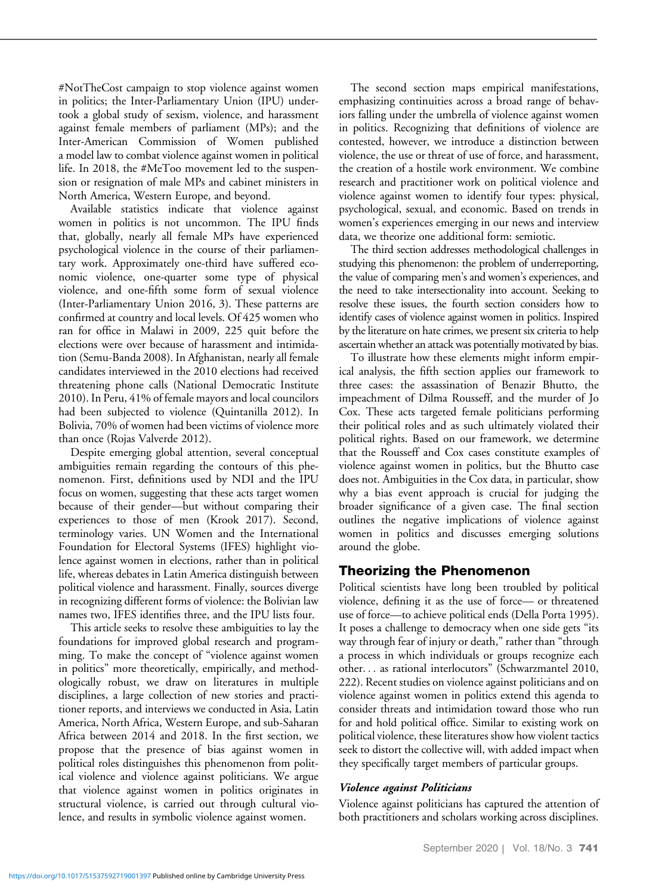#NotTheCost campaign to stop violence against women in politics; the Inter-Parliamentary Union (IPU) undertook a global study of sexism, violence, and harassment against female members of parliament (MPs); and the Inter-American Commission of Women published a model law to combat violence against women in political life. In 2018, the #MeToo movement led to the suspension or resignation of male MPs and cabinet ministers in North America, Western Europe, and beyond.

Available statistics indicate that violence against women in politics is not uncommon. The IPU finds that, globally, nearly all female MPs have experienced psychological violence in the course of their parliamentary work. Approximately one-third have suffered economic violence, one-quarter some type of physical violence, and one-fifth some form of sexual violence (Inter-Parliamentary Union 2016, 3). These patterns are confirmed at country and local levels. Of 425 women who ran for office in Malawi in 2009, 225 quit before the elections were over because of harassment and intimidation (Semu-Banda 2008). In Afghanistan, nearly all female candidates interviewed in the 2010 elections had received threatening phone calls (National Democratic Institute 2010). In Peru, 41% of female mayors and local councilors had been subjected to violence (Quintanilla 2012). In Bolivia, 70% of women had been victims of violence more than once (Rojas Valverde 2012).

Despite emerging global attention, several conceptual ambiguities remain regarding the contours of this phenomenon. First, definitions used by NDI and the IPU focus on women, suggesting that these acts target women because of their gender—but without comparing their experiences to those of men (Krook 2017). Second, terminology varies. UN Women and the International Foundation for Electoral Systems (IFES) highlight violence against women in elections, rather than in political life, whereas debates in Latin America distinguish between political violence and harassment. Finally, sources diverge in recognizing different forms of violence: the Bolivian law names two, IFES identifies three, and the IPU lists four.

This article seeks to resolve these ambiguities to lay the foundations for improved global research and programming. To make the concept of "violence against women in politics" more theoretically, empirically, and methodologically robust, we draw on literatures in multiple disciplines, a large collection of new stories and practitioner reports, and interviews we conducted in Asia, Latin America, North Africa, Western Europe, and sub-Saharan Africa between 2014 and 2018. In the first section, we propose that the presence of bias against women in political roles distinguishes this phenomenon from political violence and violence against politicians. We argue that violence against women in politics originates in structural violence, is carried out through cultural violence, and results in symbolic violence against women.

The second section maps empirical manifestations, emphasizing continuities across a broad range of behaviors falling under the umbrella of violence against women in politics. Recognizing that definitions of violence are contested, however, we introduce a distinction between violence, the use or threat of use of force, and harassment, the creation of a hostile work environment. We combine research and practitioner work on political violence and violence against women to identify four types: physical, psychological, sexual, and economic. Based on trends in women's experiences emerging in our news and interview data, we theorize one additional form: semiotic.

The third section addresses methodological challenges in studying this phenomenon: the problem of underreporting, the value of comparing men's and women's experiences, and the need to take intersectionality into account. Seeking to resolve these issues, the fourth section considers how to identify cases of violence against women in politics. Inspired by the literature on hate crimes, we present six criteria to help ascertain whether an attack was potentially motivated by bias.

To illustrate how these elements might inform empirical analysis, the fifth section applies our framework to three cases: the assassination of Benazir Bhutto, the impeachment of Dilma Rousseff, and the murder of Jo Cox. These acts targeted female politicians performing their political roles and as such ultimately violated their political rights. Based on our framework, we determine that the Rousseff and Cox cases constitute examples of violence against women in politics, but the Bhutto case does not. Ambiguities in the Cox data, in particular, show why a bias event approach is crucial for judging the broader significance of a given case. The final section outlines the negative implications of violence against women in politics and discusses emerging solutions around the globe.

# Theorizing the Phenomenon

Political scientists have long been troubled by political violence, defining it as the use of force— or threatened use of force—to achieve political ends (Della Porta 1995). It poses a challenge to democracy when one side gets "its way through fear of injury or death," rather than "through a process in which individuals or groups recognize each other... as rational interlocutors" (Schwarzmantel 2010, 222). Recent studies on violence against politicians and on violence against women in politics extend this agenda to consider threats and intimidation toward those who run for and hold political office. Similar to existing work on political violence, these literatures show how violent tactics seek to distort the collective will, with added impact when they specifically target members of particular groups.

#### Violence against Politicians

Violence against politicians has captured the attention of both practitioners and scholars working across disciplines.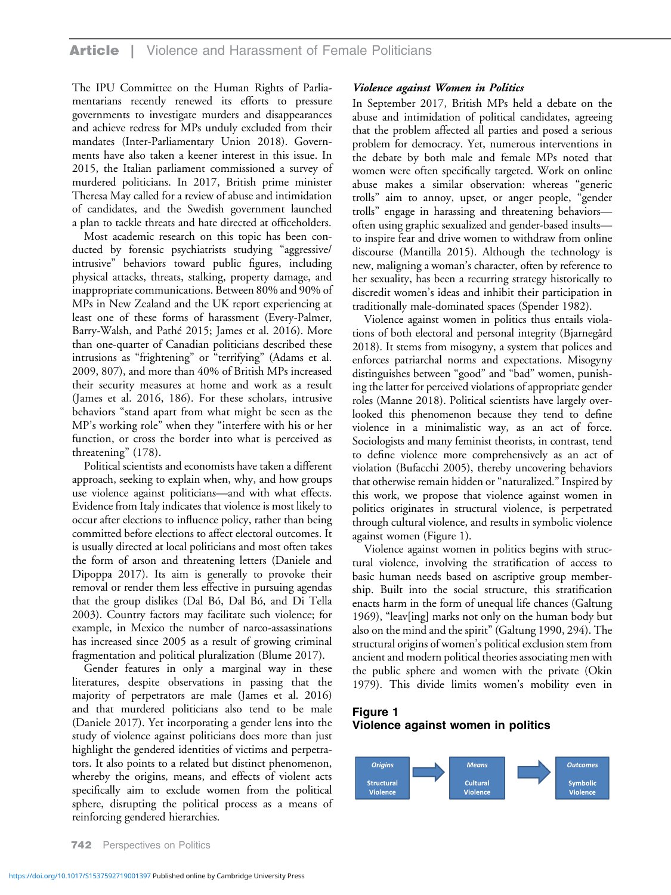## **Article** | Violence and Harassment of Female Politicians

The IPU Committee on the Human Rights of Parliamentarians recently renewed its efforts to pressure governments to investigate murders and disappearances and achieve redress for MPs unduly excluded from their mandates (Inter-Parliamentary Union 2018). Governments have also taken a keener interest in this issue. In 2015, the Italian parliament commissioned a survey of murdered politicians. In 2017, British prime minister Theresa May called for a review of abuse and intimidation of candidates, and the Swedish government launched a plan to tackle threats and hate directed at officeholders.

Most academic research on this topic has been conducted by forensic psychiatrists studying "aggressive/ intrusive" behaviors toward public figures, including physical attacks, threats, stalking, property damage, and inappropriate communications. Between 80% and 90% of MPs in New Zealand and the UK report experiencing at least one of these forms of harassment (Every-Palmer, Barry-Walsh, and Pathé 2015; James et al. 2016). More than one-quarter of Canadian politicians described these intrusions as "frightening" or "terrifying" (Adams et al. 2009, 807), and more than 40% of British MPs increased their security measures at home and work as a result (James et al. 2016, 186). For these scholars, intrusive behaviors "stand apart from what might be seen as the MP's working role" when they "interfere with his or her function, or cross the border into what is perceived as threatening" (178).

Political scientists and economists have taken a different approach, seeking to explain when, why, and how groups use violence against politicians—and with what effects. Evidence from Italy indicates that violence is most likely to occur after elections to influence policy, rather than being committed before elections to affect electoral outcomes. It is usually directed at local politicians and most often takes the form of arson and threatening letters (Daniele and Dipoppa 2017). Its aim is generally to provoke their removal or render them less effective in pursuing agendas that the group dislikes (Dal Bó, Dal Bó, and Di Tella 2003). Country factors may facilitate such violence; for example, in Mexico the number of narco-assassinations has increased since 2005 as a result of growing criminal fragmentation and political pluralization (Blume 2017).

Gender features in only a marginal way in these literatures, despite observations in passing that the majority of perpetrators are male (James et al. 2016) and that murdered politicians also tend to be male (Daniele 2017). Yet incorporating a gender lens into the study of violence against politicians does more than just highlight the gendered identities of victims and perpetrators. It also points to a related but distinct phenomenon, whereby the origins, means, and effects of violent acts specifically aim to exclude women from the political sphere, disrupting the political process as a means of reinforcing gendered hierarchies.

#### Violence against Women in Politics

In September 2017, British MPs held a debate on the abuse and intimidation of political candidates, agreeing that the problem affected all parties and posed a serious problem for democracy. Yet, numerous interventions in the debate by both male and female MPs noted that women were often specifically targeted. Work on online abuse makes a similar observation: whereas "generic trolls" aim to annoy, upset, or anger people, "gender trolls" engage in harassing and threatening behaviors often using graphic sexualized and gender-based insults to inspire fear and drive women to withdraw from online discourse (Mantilla 2015). Although the technology is new, maligning a woman's character, often by reference to her sexuality, has been a recurring strategy historically to discredit women's ideas and inhibit their participation in traditionally male-dominated spaces (Spender 1982).

Violence against women in politics thus entails violations of both electoral and personal integrity (Bjarnegård 2018). It stems from misogyny, a system that polices and enforces patriarchal norms and expectations. Misogyny distinguishes between "good" and "bad" women, punishing the latter for perceived violations of appropriate gender roles (Manne 2018). Political scientists have largely overlooked this phenomenon because they tend to define violence in a minimalistic way, as an act of force. Sociologists and many feminist theorists, in contrast, tend to define violence more comprehensively as an act of violation (Bufacchi 2005), thereby uncovering behaviors that otherwise remain hidden or "naturalized." Inspired by this work, we propose that violence against women in politics originates in structural violence, is perpetrated through cultural violence, and results in symbolic violence against women (Figure 1).

Violence against women in politics begins with structural violence, involving the stratification of access to basic human needs based on ascriptive group membership. Built into the social structure, this stratification enacts harm in the form of unequal life chances (Galtung 1969), "leav[ing] marks not only on the human body but also on the mind and the spirit" (Galtung 1990, 294). The structural origins of women's political exclusion stem from ancient and modern political theories associating men with the public sphere and women with the private (Okin 1979). This divide limits women's mobility even in

## Figure 1 Violence against women in politics

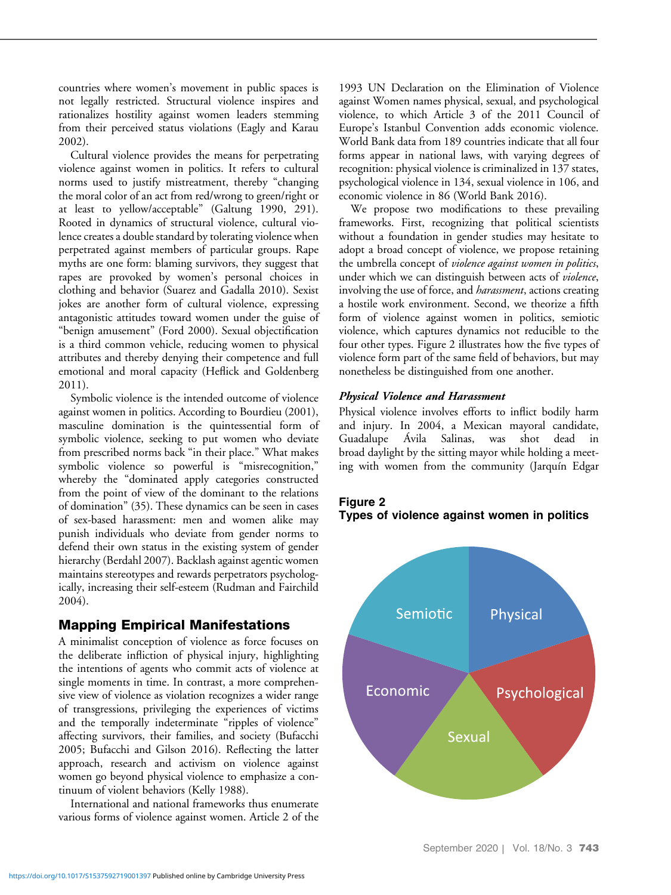countries where women's movement in public spaces is not legally restricted. Structural violence inspires and rationalizes hostility against women leaders stemming from their perceived status violations (Eagly and Karau 2002).

Cultural violence provides the means for perpetrating violence against women in politics. It refers to cultural norms used to justify mistreatment, thereby "changing the moral color of an act from red/wrong to green/right or at least to yellow/acceptable" (Galtung 1990, 291). Rooted in dynamics of structural violence, cultural violence creates a double standard by tolerating violence when perpetrated against members of particular groups. Rape myths are one form: blaming survivors, they suggest that rapes are provoked by women's personal choices in clothing and behavior (Suarez and Gadalla 2010). Sexist jokes are another form of cultural violence, expressing antagonistic attitudes toward women under the guise of "benign amusement" (Ford 2000). Sexual objectification is a third common vehicle, reducing women to physical attributes and thereby denying their competence and full emotional and moral capacity (Heflick and Goldenberg 2011).

Symbolic violence is the intended outcome of violence against women in politics. According to Bourdieu (2001), masculine domination is the quintessential form of symbolic violence, seeking to put women who deviate from prescribed norms back "in their place." What makes symbolic violence so powerful is "misrecognition," whereby the "dominated apply categories constructed from the point of view of the dominant to the relations of domination" (35). These dynamics can be seen in cases of sex-based harassment: men and women alike may punish individuals who deviate from gender norms to defend their own status in the existing system of gender hierarchy (Berdahl 2007). Backlash against agentic women maintains stereotypes and rewards perpetrators psychologically, increasing their self-esteem (Rudman and Fairchild 2004).

# Mapping Empirical Manifestations

A minimalist conception of violence as force focuses on the deliberate infliction of physical injury, highlighting the intentions of agents who commit acts of violence at single moments in time. In contrast, a more comprehensive view of violence as violation recognizes a wider range of transgressions, privileging the experiences of victims and the temporally indeterminate "ripples of violence" affecting survivors, their families, and society (Bufacchi 2005; Bufacchi and Gilson 2016). Reflecting the latter approach, research and activism on violence against women go beyond physical violence to emphasize a continuum of violent behaviors (Kelly 1988).

International and national frameworks thus enumerate various forms of violence against women. Article 2 of the

1993 UN Declaration on the Elimination of Violence against Women names physical, sexual, and psychological violence, to which Article 3 of the 2011 Council of Europe's Istanbul Convention adds economic violence. World Bank data from 189 countries indicate that all four forms appear in national laws, with varying degrees of recognition: physical violence is criminalized in 137 states, psychological violence in 134, sexual violence in 106, and economic violence in 86 (World Bank 2016).

We propose two modifications to these prevailing frameworks. First, recognizing that political scientists without a foundation in gender studies may hesitate to adopt a broad concept of violence, we propose retaining the umbrella concept of violence against women in politics, under which we can distinguish between acts of *violence*, involving the use of force, and *harassment*, actions creating a hostile work environment. Second, we theorize a fifth form of violence against women in politics, semiotic violence, which captures dynamics not reducible to the four other types. Figure 2 illustrates how the five types of violence form part of the same field of behaviors, but may nonetheless be distinguished from one another.

#### Physical Violence and Harassment

Physical violence involves efforts to inflict bodily harm and injury. In 2004, a Mexican mayoral candidate, Guadalupe Ávila Salinas, was shot dead in broad daylight by the sitting mayor while holding a meeting with women from the community (Jarquín Edgar

# Figure 2 Types of violence against women in politics

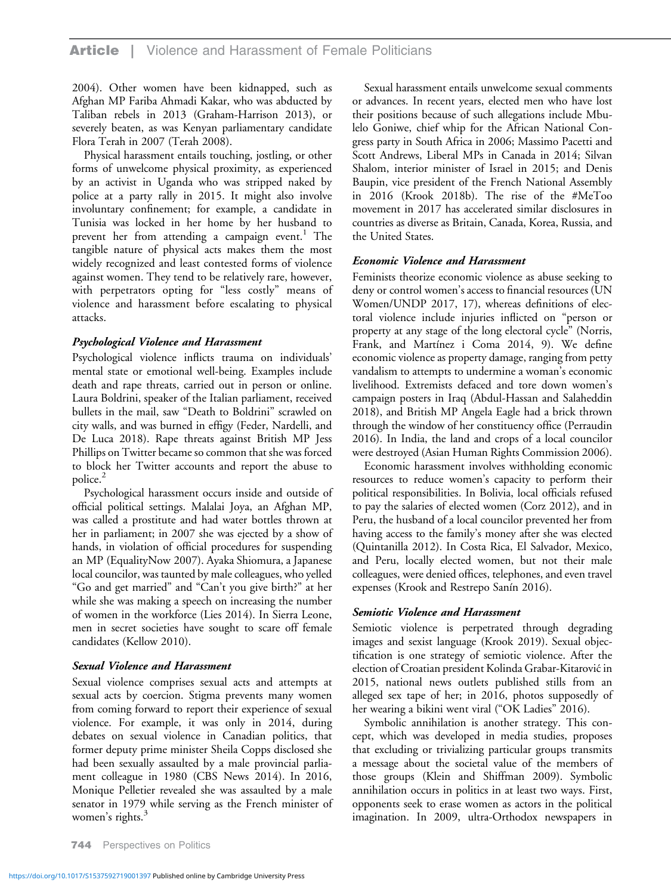## **Article** | Violence and Harassment of Female Politicians

2004). Other women have been kidnapped, such as Afghan MP Fariba Ahmadi Kakar, who was abducted by Taliban rebels in 2013 (Graham-Harrison 2013), or severely beaten, as was Kenyan parliamentary candidate Flora Terah in 2007 (Terah 2008).

Physical harassment entails touching, jostling, or other forms of unwelcome physical proximity, as experienced by an activist in Uganda who was stripped naked by police at a party rally in 2015. It might also involve involuntary confinement; for example, a candidate in Tunisia was locked in her home by her husband to prevent her from attending a campaign event.<sup>1</sup> The tangible nature of physical acts makes them the most widely recognized and least contested forms of violence against women. They tend to be relatively rare, however, with perpetrators opting for "less costly" means of violence and harassment before escalating to physical attacks.

#### Psychological Violence and Harassment

Psychological violence inflicts trauma on individuals' mental state or emotional well-being. Examples include death and rape threats, carried out in person or online. Laura Boldrini, speaker of the Italian parliament, received bullets in the mail, saw "Death to Boldrini" scrawled on city walls, and was burned in effigy (Feder, Nardelli, and De Luca 2018). Rape threats against British MP Jess Phillips on Twitter became so common that she was forced to block her Twitter accounts and report the abuse to police.<sup>2</sup>

Psychological harassment occurs inside and outside of official political settings. Malalai Joya, an Afghan MP, was called a prostitute and had water bottles thrown at her in parliament; in 2007 she was ejected by a show of hands, in violation of official procedures for suspending an MP (EqualityNow 2007). Ayaka Shiomura, a Japanese local councilor, was taunted by male colleagues, who yelled "Go and get married" and "Can't you give birth?" at her while she was making a speech on increasing the number of women in the workforce (Lies 2014). In Sierra Leone, men in secret societies have sought to scare off female candidates (Kellow 2010).

#### Sexual Violence and Harassment

Sexual violence comprises sexual acts and attempts at sexual acts by coercion. Stigma prevents many women from coming forward to report their experience of sexual violence. For example, it was only in 2014, during debates on sexual violence in Canadian politics, that former deputy prime minister Sheila Copps disclosed she had been sexually assaulted by a male provincial parliament colleague in 1980 (CBS News 2014). In 2016, Monique Pelletier revealed she was assaulted by a male senator in 1979 while serving as the French minister of women's rights.<sup>3</sup>

Sexual harassment entails unwelcome sexual comments or advances. In recent years, elected men who have lost their positions because of such allegations include Mbulelo Goniwe, chief whip for the African National Congress party in South Africa in 2006; Massimo Pacetti and Scott Andrews, Liberal MPs in Canada in 2014; Silvan Shalom, interior minister of Israel in 2015; and Denis Baupin, vice president of the French National Assembly in 2016 (Krook 2018b). The rise of the #MeToo movement in 2017 has accelerated similar disclosures in countries as diverse as Britain, Canada, Korea, Russia, and the United States.

#### Economic Violence and Harassment

Feminists theorize economic violence as abuse seeking to deny or control women's access to financial resources (UN Women/UNDP 2017, 17), whereas definitions of electoral violence include injuries inflicted on "person or property at any stage of the long electoral cycle" (Norris, Frank, and Martínez i Coma 2014, 9). We define economic violence as property damage, ranging from petty vandalism to attempts to undermine a woman's economic livelihood. Extremists defaced and tore down women's campaign posters in Iraq (Abdul-Hassan and Salaheddin 2018), and British MP Angela Eagle had a brick thrown through the window of her constituency office (Perraudin 2016). In India, the land and crops of a local councilor were destroyed (Asian Human Rights Commission 2006).

Economic harassment involves withholding economic resources to reduce women's capacity to perform their political responsibilities. In Bolivia, local officials refused to pay the salaries of elected women (Corz 2012), and in Peru, the husband of a local councilor prevented her from having access to the family's money after she was elected (Quintanilla 2012). In Costa Rica, El Salvador, Mexico, and Peru, locally elected women, but not their male colleagues, were denied offices, telephones, and even travel expenses (Krook and Restrepo Sanín 2016).

#### Semiotic Violence and Harassment

Semiotic violence is perpetrated through degrading images and sexist language (Krook 2019). Sexual objectification is one strategy of semiotic violence. After the election of Croatian president Kolinda Grabar-Kitarović in 2015, national news outlets published stills from an alleged sex tape of her; in 2016, photos supposedly of her wearing a bikini went viral ("OK Ladies" 2016).

Symbolic annihilation is another strategy. This concept, which was developed in media studies, proposes that excluding or trivializing particular groups transmits a message about the societal value of the members of those groups (Klein and Shiffman 2009). Symbolic annihilation occurs in politics in at least two ways. First, opponents seek to erase women as actors in the political imagination. In 2009, ultra-Orthodox newspapers in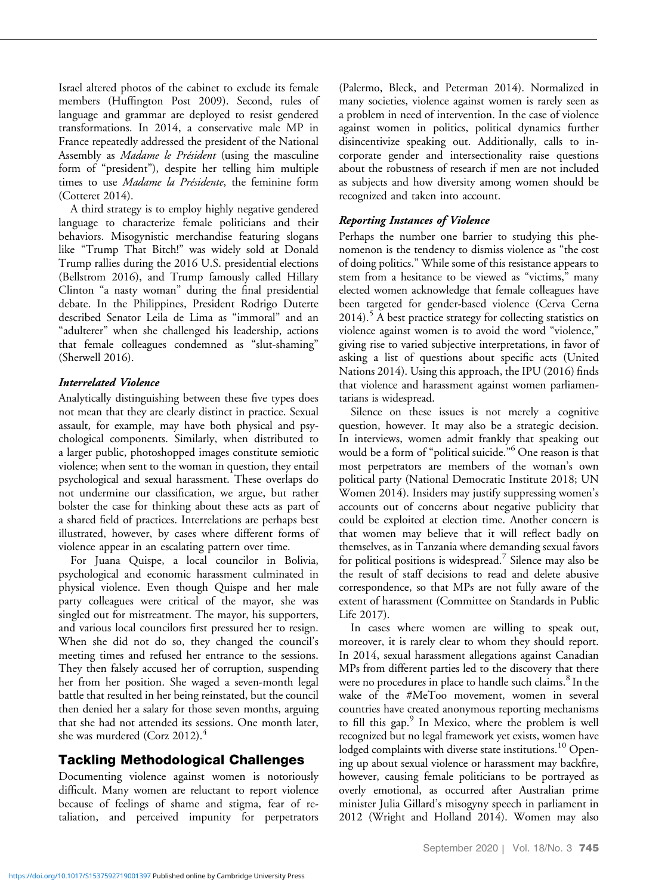Israel altered photos of the cabinet to exclude its female members (Huffington Post 2009). Second, rules of language and grammar are deployed to resist gendered transformations. In 2014, a conservative male MP in France repeatedly addressed the president of the National Assembly as Madame le Président (using the masculine form of "president"), despite her telling him multiple times to use Madame la Présidente, the feminine form (Cotteret 2014).

A third strategy is to employ highly negative gendered language to characterize female politicians and their behaviors. Misogynistic merchandise featuring slogans like "Trump That Bitch!" was widely sold at Donald Trump rallies during the 2016 U.S. presidential elections (Bellstrom 2016), and Trump famously called Hillary Clinton "a nasty woman" during the final presidential debate. In the Philippines, President Rodrigo Duterte described Senator Leila de Lima as "immoral" and an "adulterer" when she challenged his leadership, actions that female colleagues condemned as "slut-shaming" (Sherwell 2016).

## Interrelated Violence

Analytically distinguishing between these five types does not mean that they are clearly distinct in practice. Sexual assault, for example, may have both physical and psychological components. Similarly, when distributed to a larger public, photoshopped images constitute semiotic violence; when sent to the woman in question, they entail psychological and sexual harassment. These overlaps do not undermine our classification, we argue, but rather bolster the case for thinking about these acts as part of a shared field of practices. Interrelations are perhaps best illustrated, however, by cases where different forms of violence appear in an escalating pattern over time.

For Juana Quispe, a local councilor in Bolivia, psychological and economic harassment culminated in physical violence. Even though Quispe and her male party colleagues were critical of the mayor, she was singled out for mistreatment. The mayor, his supporters, and various local councilors first pressured her to resign. When she did not do so, they changed the council's meeting times and refused her entrance to the sessions. They then falsely accused her of corruption, suspending her from her position. She waged a seven-month legal battle that resulted in her being reinstated, but the council then denied her a salary for those seven months, arguing that she had not attended its sessions. One month later, she was murdered (Corz 2012). $4$ 

# Tackling Methodological Challenges

Documenting violence against women is notoriously difficult. Many women are reluctant to report violence because of feelings of shame and stigma, fear of retaliation, and perceived impunity for perpetrators

(Palermo, Bleck, and Peterman 2014). Normalized in many societies, violence against women is rarely seen as a problem in need of intervention. In the case of violence against women in politics, political dynamics further disincentivize speaking out. Additionally, calls to incorporate gender and intersectionality raise questions about the robustness of research if men are not included as subjects and how diversity among women should be recognized and taken into account.

## Reporting Instances of Violence

Perhaps the number one barrier to studying this phenomenon is the tendency to dismiss violence as "the cost of doing politics." While some of this resistance appears to stem from a hesitance to be viewed as "victims," many elected women acknowledge that female colleagues have been targeted for gender-based violence (Cerva Cerna  $2014$ .<sup>5</sup> A best practice strategy for collecting statistics on violence against women is to avoid the word "violence," giving rise to varied subjective interpretations, in favor of asking a list of questions about specific acts (United Nations 2014). Using this approach, the IPU (2016) finds that violence and harassment against women parliamentarians is widespread.

Silence on these issues is not merely a cognitive question, however. It may also be a strategic decision. In interviews, women admit frankly that speaking out would be a form of "political suicide." <sup>6</sup> One reason is that most perpetrators are members of the woman's own political party (National Democratic Institute 2018; UN Women 2014). Insiders may justify suppressing women's accounts out of concerns about negative publicity that could be exploited at election time. Another concern is that women may believe that it will reflect badly on themselves, as in Tanzania where demanding sexual favors for political positions is widespread.<sup>7</sup> Silence may also be the result of staff decisions to read and delete abusive correspondence, so that MPs are not fully aware of the extent of harassment (Committee on Standards in Public Life 2017).

In cases where women are willing to speak out, moreover, it is rarely clear to whom they should report. In 2014, sexual harassment allegations against Canadian MPs from different parties led to the discovery that there were no procedures in place to handle such claims.<sup>8</sup> In the wake of the #MeToo movement, women in several countries have created anonymous reporting mechanisms to fill this gap.<sup>9</sup> In Mexico, where the problem is well recognized but no legal framework yet exists, women have lodged complaints with diverse state institutions.<sup>10</sup> Opening up about sexual violence or harassment may backfire, however, causing female politicians to be portrayed as overly emotional, as occurred after Australian prime minister Julia Gillard's misogyny speech in parliament in 2012 (Wright and Holland 2014). Women may also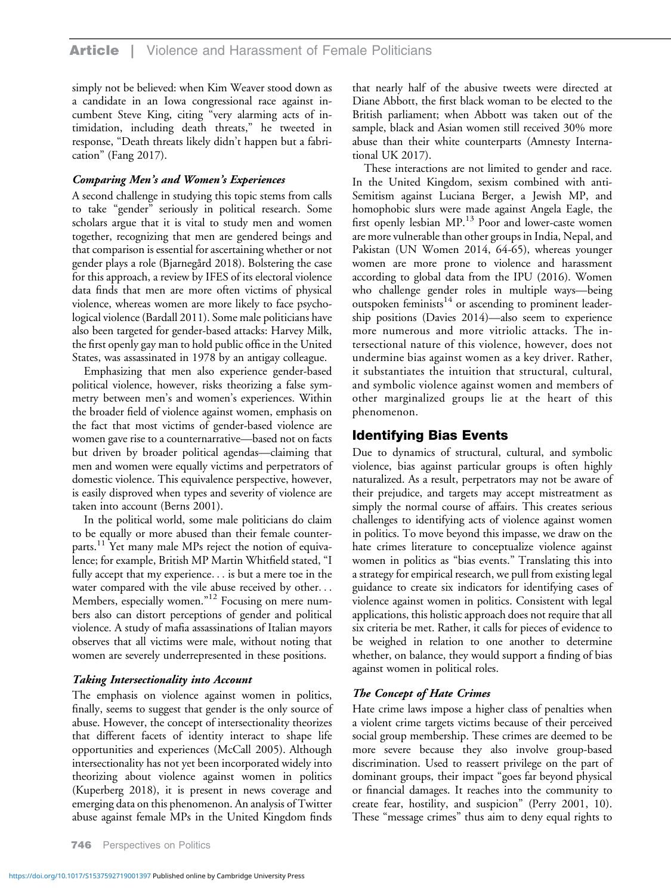simply not be believed: when Kim Weaver stood down as a candidate in an Iowa congressional race against incumbent Steve King, citing "very alarming acts of intimidation, including death threats," he tweeted in response, "Death threats likely didn't happen but a fabrication" (Fang 2017).

#### Comparing Men's and Women's Experiences

A second challenge in studying this topic stems from calls to take "gender" seriously in political research. Some scholars argue that it is vital to study men and women together, recognizing that men are gendered beings and that comparison is essential for ascertaining whether or not gender plays a role (Bjarnegård 2018). Bolstering the case for this approach, a review by IFES of its electoral violence data finds that men are more often victims of physical violence, whereas women are more likely to face psychological violence (Bardall 2011). Some male politicians have also been targeted for gender-based attacks: Harvey Milk, the first openly gay man to hold public office in the United States, was assassinated in 1978 by an antigay colleague.

Emphasizing that men also experience gender-based political violence, however, risks theorizing a false symmetry between men's and women's experiences. Within the broader field of violence against women, emphasis on the fact that most victims of gender-based violence are women gave rise to a counternarrative—based not on facts but driven by broader political agendas—claiming that men and women were equally victims and perpetrators of domestic violence. This equivalence perspective, however, is easily disproved when types and severity of violence are taken into account (Berns 2001).

In the political world, some male politicians do claim to be equally or more abused than their female counterparts.<sup>11</sup> Yet many male MPs reject the notion of equivalence; for example, British MP Martin Whitfield stated, "I fully accept that my experience... is but a mere toe in the water compared with the vile abuse received by other... Members, especially women."<sup>12</sup> Focusing on mere numbers also can distort perceptions of gender and political violence. A study of mafia assassinations of Italian mayors observes that all victims were male, without noting that women are severely underrepresented in these positions.

#### Taking Intersectionality into Account

The emphasis on violence against women in politics, finally, seems to suggest that gender is the only source of abuse. However, the concept of intersectionality theorizes that different facets of identity interact to shape life opportunities and experiences (McCall 2005). Although intersectionality has not yet been incorporated widely into theorizing about violence against women in politics (Kuperberg 2018), it is present in news coverage and emerging data on this phenomenon. An analysis of Twitter abuse against female MPs in the United Kingdom finds

that nearly half of the abusive tweets were directed at Diane Abbott, the first black woman to be elected to the British parliament; when Abbott was taken out of the sample, black and Asian women still received 30% more abuse than their white counterparts (Amnesty International UK 2017).

These interactions are not limited to gender and race. In the United Kingdom, sexism combined with anti-Semitism against Luciana Berger, a Jewish MP, and homophobic slurs were made against Angela Eagle, the first openly lesbian  $MP<sup>13</sup>$  Poor and lower-caste women are more vulnerable than other groups in India, Nepal, and Pakistan (UN Women 2014, 64-65), whereas younger women are more prone to violence and harassment according to global data from the IPU (2016). Women who challenge gender roles in multiple ways—being outspoken feminists<sup>14</sup> or ascending to prominent leadership positions (Davies 2014)—also seem to experience more numerous and more vitriolic attacks. The intersectional nature of this violence, however, does not undermine bias against women as a key driver. Rather, it substantiates the intuition that structural, cultural, and symbolic violence against women and members of other marginalized groups lie at the heart of this phenomenon.

## Identifying Bias Events

Due to dynamics of structural, cultural, and symbolic violence, bias against particular groups is often highly naturalized. As a result, perpetrators may not be aware of their prejudice, and targets may accept mistreatment as simply the normal course of affairs. This creates serious challenges to identifying acts of violence against women in politics. To move beyond this impasse, we draw on the hate crimes literature to conceptualize violence against women in politics as "bias events." Translating this into a strategy for empirical research, we pull from existing legal guidance to create six indicators for identifying cases of violence against women in politics. Consistent with legal applications, this holistic approach does not require that all six criteria be met. Rather, it calls for pieces of evidence to be weighed in relation to one another to determine whether, on balance, they would support a finding of bias against women in political roles.

#### The Concept of Hate Crimes

Hate crime laws impose a higher class of penalties when a violent crime targets victims because of their perceived social group membership. These crimes are deemed to be more severe because they also involve group-based discrimination. Used to reassert privilege on the part of dominant groups, their impact "goes far beyond physical or financial damages. It reaches into the community to create fear, hostility, and suspicion" (Perry 2001, 10). These "message crimes" thus aim to deny equal rights to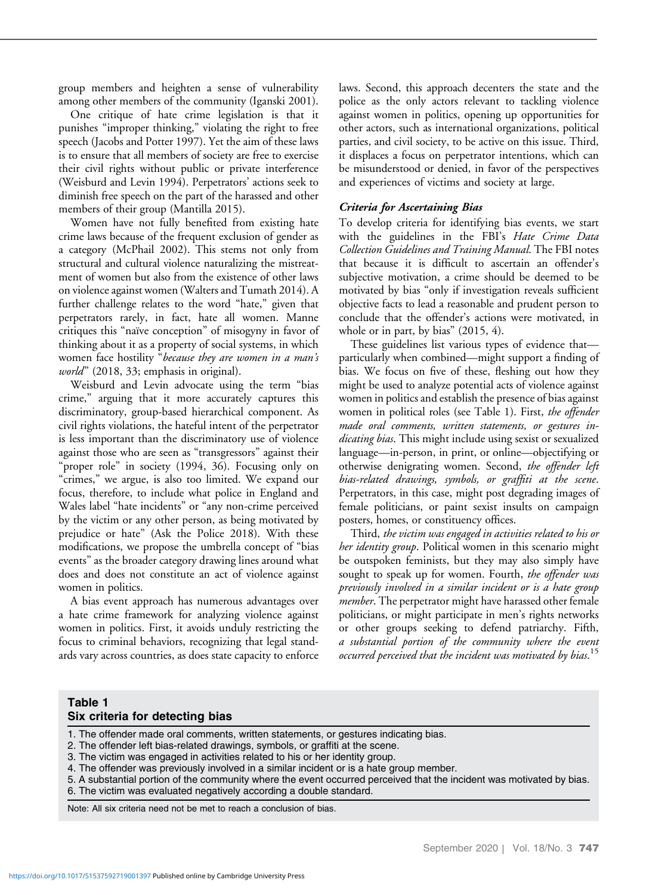group members and heighten a sense of vulnerability among other members of the community (Iganski 2001).

One critique of hate crime legislation is that it punishes "improper thinking," violating the right to free speech (Jacobs and Potter 1997). Yet the aim of these laws is to ensure that all members of society are free to exercise their civil rights without public or private interference (Weisburd and Levin 1994). Perpetrators' actions seek to diminish free speech on the part of the harassed and other members of their group (Mantilla 2015).

Women have not fully benefited from existing hate crime laws because of the frequent exclusion of gender as a category (McPhail 2002). This stems not only from structural and cultural violence naturalizing the mistreatment of women but also from the existence of other laws on violence against women (Walters and Tumath 2014). A further challenge relates to the word "hate," given that perpetrators rarely, in fact, hate all women. Manne critiques this "naïve conception" of misogyny in favor of thinking about it as a property of social systems, in which women face hostility "because they are women in a man's world" (2018, 33; emphasis in original).

Weisburd and Levin advocate using the term "bias crime," arguing that it more accurately captures this discriminatory, group-based hierarchical component. As civil rights violations, the hateful intent of the perpetrator is less important than the discriminatory use of violence against those who are seen as "transgressors" against their "proper role" in society (1994, 36). Focusing only on "crimes," we argue, is also too limited. We expand our focus, therefore, to include what police in England and Wales label "hate incidents" or "any non-crime perceived by the victim or any other person, as being motivated by prejudice or hate" (Ask the Police 2018). With these modifications, we propose the umbrella concept of "bias events" as the broader category drawing lines around what does and does not constitute an act of violence against women in politics.

A bias event approach has numerous advantages over a hate crime framework for analyzing violence against women in politics. First, it avoids unduly restricting the focus to criminal behaviors, recognizing that legal standards vary across countries, as does state capacity to enforce laws. Second, this approach decenters the state and the police as the only actors relevant to tackling violence against women in politics, opening up opportunities for other actors, such as international organizations, political parties, and civil society, to be active on this issue. Third, it displaces a focus on perpetrator intentions, which can be misunderstood or denied, in favor of the perspectives and experiences of victims and society at large.

#### Criteria for Ascertaining Bias

To develop criteria for identifying bias events, we start with the guidelines in the FBI's Hate Crime Data Collection Guidelines and Training Manual. The FBI notes that because it is difficult to ascertain an offender's subjective motivation, a crime should be deemed to be motivated by bias "only if investigation reveals sufficient objective facts to lead a reasonable and prudent person to conclude that the offender's actions were motivated, in whole or in part, by bias" (2015, 4).

These guidelines list various types of evidence that particularly when combined—might support a finding of bias. We focus on five of these, fleshing out how they might be used to analyze potential acts of violence against women in politics and establish the presence of bias against women in political roles (see Table 1). First, the offender made oral comments, written statements, or gestures indicating bias. This might include using sexist or sexualized language—in-person, in print, or online—objectifying or otherwise denigrating women. Second, the offender left bias-related drawings, symbols, or graffiti at the scene. Perpetrators, in this case, might post degrading images of female politicians, or paint sexist insults on campaign posters, homes, or constituency offices.

Third, the victim was engaged in activities related to his or her identity group. Political women in this scenario might be outspoken feminists, but they may also simply have sought to speak up for women. Fourth, the offender was previously involved in a similar incident or is a hate group member. The perpetrator might have harassed other female politicians, or might participate in men's rights networks or other groups seeking to defend patriarchy. Fifth, a substantial portion of the community where the event occurred perceived that the incident was motivated by bias.<sup>15</sup>

## Table 1 Six criteria for detecting bias

1. The offender made oral comments, written statements, or gestures indicating bias.

2. The offender left bias-related drawings, symbols, or graffiti at the scene.

3. The victim was engaged in activities related to his or her identity group.

4. The offender was previously involved in a similar incident or is a hate group member.

5. A substantial portion of the community where the event occurred perceived that the incident was motivated by bias. 6. The victim was evaluated negatively according a double standard.

Note: All six criteria need not be met to reach a conclusion of bias.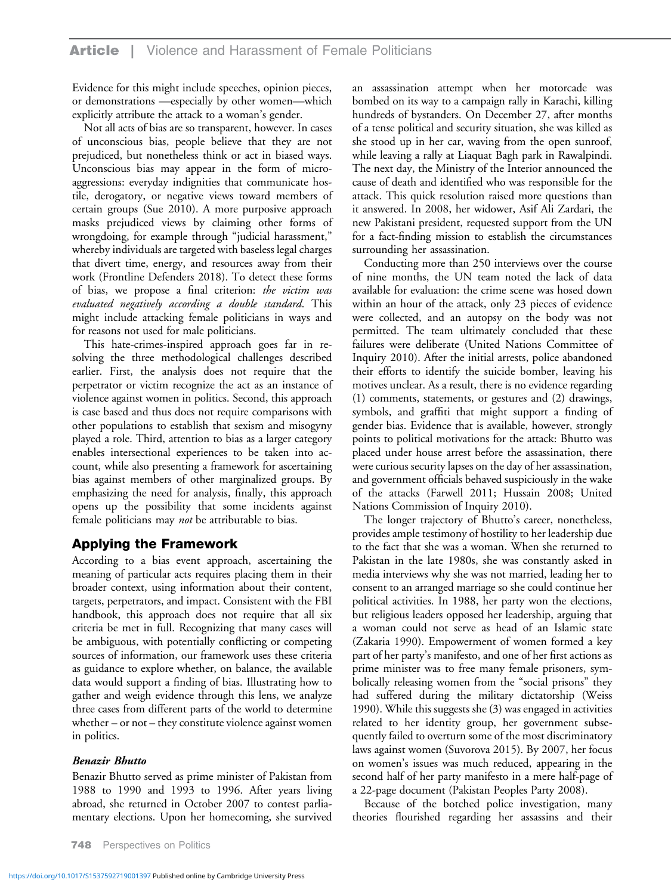Evidence for this might include speeches, opinion pieces, or demonstrations —especially by other women—which explicitly attribute the attack to a woman's gender.

Not all acts of bias are so transparent, however. In cases of unconscious bias, people believe that they are not prejudiced, but nonetheless think or act in biased ways. Unconscious bias may appear in the form of microaggressions: everyday indignities that communicate hostile, derogatory, or negative views toward members of certain groups (Sue 2010). A more purposive approach masks prejudiced views by claiming other forms of wrongdoing, for example through "judicial harassment," whereby individuals are targeted with baseless legal charges that divert time, energy, and resources away from their work (Frontline Defenders 2018). To detect these forms of bias, we propose a final criterion: the victim was evaluated negatively according a double standard. This might include attacking female politicians in ways and for reasons not used for male politicians.

This hate-crimes-inspired approach goes far in resolving the three methodological challenges described earlier. First, the analysis does not require that the perpetrator or victim recognize the act as an instance of violence against women in politics. Second, this approach is case based and thus does not require comparisons with other populations to establish that sexism and misogyny played a role. Third, attention to bias as a larger category enables intersectional experiences to be taken into account, while also presenting a framework for ascertaining bias against members of other marginalized groups. By emphasizing the need for analysis, finally, this approach opens up the possibility that some incidents against female politicians may not be attributable to bias.

# Applying the Framework

According to a bias event approach, ascertaining the meaning of particular acts requires placing them in their broader context, using information about their content, targets, perpetrators, and impact. Consistent with the FBI handbook, this approach does not require that all six criteria be met in full. Recognizing that many cases will be ambiguous, with potentially conflicting or competing sources of information, our framework uses these criteria as guidance to explore whether, on balance, the available data would support a finding of bias. Illustrating how to gather and weigh evidence through this lens, we analyze three cases from different parts of the world to determine whether – or not – they constitute violence against women in politics.

#### Benazir Bhutto

Benazir Bhutto served as prime minister of Pakistan from 1988 to 1990 and 1993 to 1996. After years living abroad, she returned in October 2007 to contest parliamentary elections. Upon her homecoming, she survived

748 Perspectives on Politics

an assassination attempt when her motorcade was bombed on its way to a campaign rally in Karachi, killing hundreds of bystanders. On December 27, after months of a tense political and security situation, she was killed as she stood up in her car, waving from the open sunroof, while leaving a rally at Liaquat Bagh park in Rawalpindi. The next day, the Ministry of the Interior announced the cause of death and identified who was responsible for the attack. This quick resolution raised more questions than it answered. In 2008, her widower, Asif Ali Zardari, the new Pakistani president, requested support from the UN for a fact-finding mission to establish the circumstances surrounding her assassination.

Conducting more than 250 interviews over the course of nine months, the UN team noted the lack of data available for evaluation: the crime scene was hosed down within an hour of the attack, only 23 pieces of evidence were collected, and an autopsy on the body was not permitted. The team ultimately concluded that these failures were deliberate (United Nations Committee of Inquiry 2010). After the initial arrests, police abandoned their efforts to identify the suicide bomber, leaving his motives unclear. As a result, there is no evidence regarding (1) comments, statements, or gestures and (2) drawings, symbols, and graffiti that might support a finding of gender bias. Evidence that is available, however, strongly points to political motivations for the attack: Bhutto was placed under house arrest before the assassination, there were curious security lapses on the day of her assassination, and government officials behaved suspiciously in the wake of the attacks (Farwell 2011; Hussain 2008; United Nations Commission of Inquiry 2010).

The longer trajectory of Bhutto's career, nonetheless, provides ample testimony of hostility to her leadership due to the fact that she was a woman. When she returned to Pakistan in the late 1980s, she was constantly asked in media interviews why she was not married, leading her to consent to an arranged marriage so she could continue her political activities. In 1988, her party won the elections, but religious leaders opposed her leadership, arguing that a woman could not serve as head of an Islamic state (Zakaria 1990). Empowerment of women formed a key part of her party's manifesto, and one of her first actions as prime minister was to free many female prisoners, symbolically releasing women from the "social prisons" they had suffered during the military dictatorship (Weiss 1990). While this suggests she (3) was engaged in activities related to her identity group, her government subsequently failed to overturn some of the most discriminatory laws against women (Suvorova 2015). By 2007, her focus on women's issues was much reduced, appearing in the second half of her party manifesto in a mere half-page of a 22-page document (Pakistan Peoples Party 2008).

Because of the botched police investigation, many theories flourished regarding her assassins and their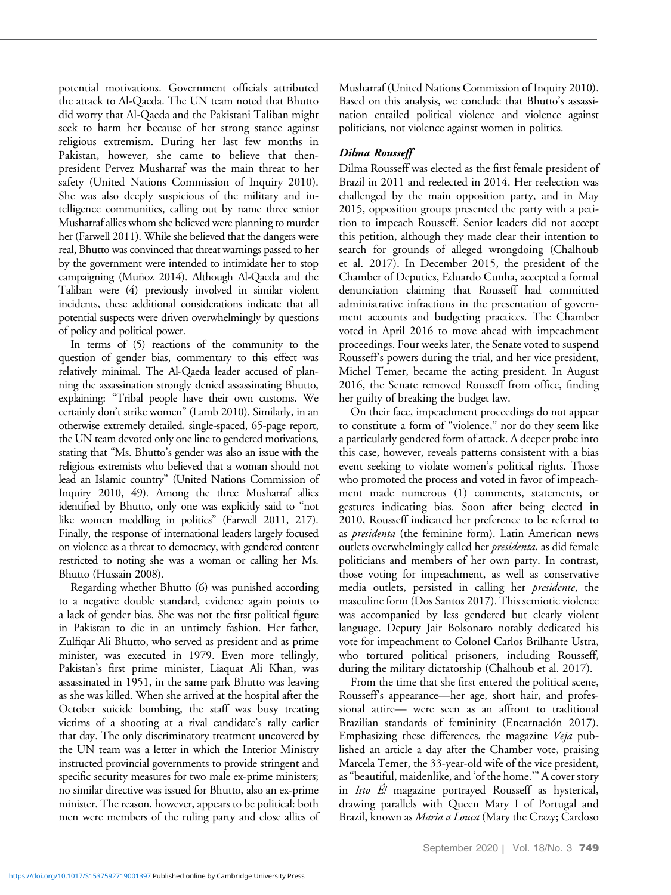potential motivations. Government officials attributed the attack to Al-Qaeda. The UN team noted that Bhutto did worry that Al-Qaeda and the Pakistani Taliban might seek to harm her because of her strong stance against religious extremism. During her last few months in Pakistan, however, she came to believe that thenpresident Pervez Musharraf was the main threat to her safety (United Nations Commission of Inquiry 2010). She was also deeply suspicious of the military and intelligence communities, calling out by name three senior Musharraf allies whom she believed were planning to murder her (Farwell 2011). While she believed that the dangers were real, Bhutto was convinced that threat warnings passed to her by the government were intended to intimidate her to stop campaigning (Muñoz 2014). Although Al-Qaeda and the Taliban were (4) previously involved in similar violent incidents, these additional considerations indicate that all potential suspects were driven overwhelmingly by questions of policy and political power.

In terms of (5) reactions of the community to the question of gender bias, commentary to this effect was relatively minimal. The Al-Qaeda leader accused of planning the assassination strongly denied assassinating Bhutto, explaining: "Tribal people have their own customs. We certainly don't strike women" (Lamb 2010). Similarly, in an otherwise extremely detailed, single-spaced, 65-page report, the UN team devoted only one line to gendered motivations, stating that "Ms. Bhutto's gender was also an issue with the religious extremists who believed that a woman should not lead an Islamic country" (United Nations Commission of Inquiry 2010, 49). Among the three Musharraf allies identified by Bhutto, only one was explicitly said to "not like women meddling in politics" (Farwell 2011, 217). Finally, the response of international leaders largely focused on violence as a threat to democracy, with gendered content restricted to noting she was a woman or calling her Ms. Bhutto (Hussain 2008).

Regarding whether Bhutto (6) was punished according to a negative double standard, evidence again points to a lack of gender bias. She was not the first political figure in Pakistan to die in an untimely fashion. Her father, Zulfiqar Ali Bhutto, who served as president and as prime minister, was executed in 1979. Even more tellingly, Pakistan's first prime minister, Liaquat Ali Khan, was assassinated in 1951, in the same park Bhutto was leaving as she was killed. When she arrived at the hospital after the October suicide bombing, the staff was busy treating victims of a shooting at a rival candidate's rally earlier that day. The only discriminatory treatment uncovered by the UN team was a letter in which the Interior Ministry instructed provincial governments to provide stringent and specific security measures for two male ex-prime ministers; no similar directive was issued for Bhutto, also an ex-prime minister. The reason, however, appears to be political: both men were members of the ruling party and close allies of Musharraf (United Nations Commission of Inquiry 2010). Based on this analysis, we conclude that Bhutto's assassination entailed political violence and violence against politicians, not violence against women in politics.

## Dilma Rousseff

Dilma Rousseff was elected as the first female president of Brazil in 2011 and reelected in 2014. Her reelection was challenged by the main opposition party, and in May 2015, opposition groups presented the party with a petition to impeach Rousseff. Senior leaders did not accept this petition, although they made clear their intention to search for grounds of alleged wrongdoing (Chalhoub et al. 2017). In December 2015, the president of the Chamber of Deputies, Eduardo Cunha, accepted a formal denunciation claiming that Rousseff had committed administrative infractions in the presentation of government accounts and budgeting practices. The Chamber voted in April 2016 to move ahead with impeachment proceedings. Four weeks later, the Senate voted to suspend Rousseff's powers during the trial, and her vice president, Michel Temer, became the acting president. In August 2016, the Senate removed Rousseff from office, finding her guilty of breaking the budget law.

On their face, impeachment proceedings do not appear to constitute a form of "violence," nor do they seem like a particularly gendered form of attack. A deeper probe into this case, however, reveals patterns consistent with a bias event seeking to violate women's political rights. Those who promoted the process and voted in favor of impeachment made numerous (1) comments, statements, or gestures indicating bias. Soon after being elected in 2010, Rousseff indicated her preference to be referred to as *presidenta* (the feminine form). Latin American news outlets overwhelmingly called her *presidenta*, as did female politicians and members of her own party. In contrast, those voting for impeachment, as well as conservative media outlets, persisted in calling her presidente, the masculine form (Dos Santos 2017). This semiotic violence was accompanied by less gendered but clearly violent language. Deputy Jair Bolsonaro notably dedicated his vote for impeachment to Colonel Carlos Brilhante Ustra, who tortured political prisoners, including Rousseff, during the military dictatorship (Chalhoub et al. 2017).

From the time that she first entered the political scene, Rousseff's appearance—her age, short hair, and professional attire— were seen as an affront to traditional Brazilian standards of femininity (Encarnación 2017). Emphasizing these differences, the magazine Veja published an article a day after the Chamber vote, praising Marcela Temer, the 33-year-old wife of the vice president, as"beautiful, maidenlike, and 'of the home.'" A cover story in Isto E! magazine portrayed Rousseff as hysterical, drawing parallels with Queen Mary I of Portugal and Brazil, known as *Maria a Louca* (Mary the Crazy; Cardoso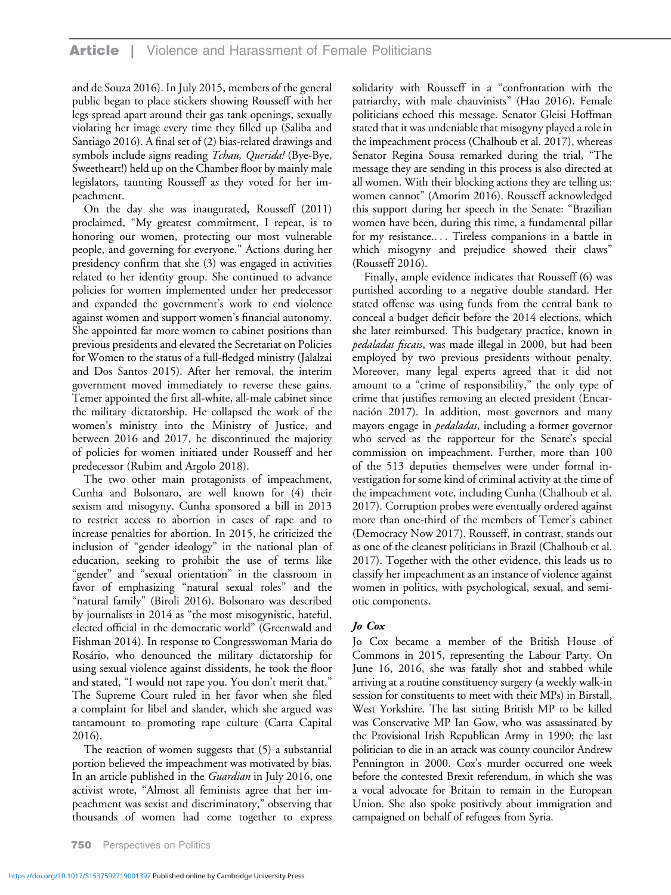and de Souza 2016). In July 2015, members of the general public began to place stickers showing Rousseff with her legs spread apart around their gas tank openings, sexually violating her image every time they filled up (Saliba and Santiago 2016). A final set of (2) bias-related drawings and symbols include signs reading Tchau, Querida! (Bye-Bye, Sweetheart!) held up on the Chamber floor by mainly male legislators, taunting Rousseff as they voted for her impeachment.

On the day she was inaugurated, Rousseff (2011) proclaimed, "My greatest commitment, I repeat, is to honoring our women, protecting our most vulnerable people, and governing for everyone." Actions during her presidency confirm that she (3) was engaged in activities related to her identity group. She continued to advance policies for women implemented under her predecessor and expanded the government's work to end violence against women and support women's financial autonomy. She appointed far more women to cabinet positions than previous presidents and elevated the Secretariat on Policies for Women to the status of a full-fledged ministry (Jalalzai and Dos Santos 2015). After her removal, the interim government moved immediately to reverse these gains. Temer appointed the first all-white, all-male cabinet since the military dictatorship. He collapsed the work of the women's ministry into the Ministry of Justice, and between 2016 and 2017, he discontinued the majority of policies for women initiated under Rousseff and her predecessor (Rubim and Argolo 2018).

The two other main protagonists of impeachment, Cunha and Bolsonaro, are well known for (4) their sexism and misogyny. Cunha sponsored a bill in 2013 to restrict access to abortion in cases of rape and to increase penalties for abortion. In 2015, he criticized the inclusion of "gender ideology" in the national plan of education, seeking to prohibit the use of terms like "gender" and "sexual orientation" in the classroom in favor of emphasizing "natural sexual roles" and the "natural family" (Biroli 2016). Bolsonaro was described by journalists in 2014 as "the most misogynistic, hateful, elected official in the democratic world" (Greenwald and Fishman 2014). In response to Congresswoman Maria do Rosário, who denounced the military dictatorship for using sexual violence against dissidents, he took the floor and stated, "I would not rape you. You don't merit that." The Supreme Court ruled in her favor when she filed a complaint for libel and slander, which she argued was tantamount to promoting rape culture (Carta Capital 2016).

The reaction of women suggests that (5) a substantial portion believed the impeachment was motivated by bias. In an article published in the *Guardian* in July 2016, one activist wrote, "Almost all feminists agree that her impeachment was sexist and discriminatory," observing that thousands of women had come together to express solidarity with Rousseff in a "confrontation with the patriarchy, with male chauvinists" (Hao 2016). Female politicians echoed this message. Senator Gleisi Hoffman stated that it was undeniable that misogyny played a role in the impeachment process (Chalhoub et al. 2017), whereas Senator Regina Sousa remarked during the trial, "The message they are sending in this process is also directed at all women. With their blocking actions they are telling us: women cannot" (Amorim 2016). Rousseff acknowledged this support during her speech in the Senate: "Brazilian women have been, during this time, a fundamental pillar for my resistance.... Tireless companions in a battle in which misogyny and prejudice showed their claws" (Rousseff 2016).

Finally, ample evidence indicates that Rousseff (6) was punished according to a negative double standard. Her stated offense was using funds from the central bank to conceal a budget deficit before the 2014 elections, which she later reimbursed. This budgetary practice, known in pedaladas fiscais, was made illegal in 2000, but had been employed by two previous presidents without penalty. Moreover, many legal experts agreed that it did not amount to a "crime of responsibility," the only type of crime that justifies removing an elected president (Encarnación 2017). In addition, most governors and many mayors engage in *pedaladas*, including a former governor who served as the rapporteur for the Senate's special commission on impeachment. Further, more than 100 of the 513 deputies themselves were under formal investigation for some kind of criminal activity at the time of the impeachment vote, including Cunha (Chalhoub et al. 2017). Corruption probes were eventually ordered against more than one-third of the members of Temer's cabinet (Democracy Now 2017). Rousseff, in contrast, stands out as one of the cleanest politicians in Brazil (Chalhoub et al. 2017). Together with the other evidence, this leads us to classify her impeachment as an instance of violence against women in politics, with psychological, sexual, and semiotic components.

## Jo Cox

Jo Cox became a member of the British House of Commons in 2015, representing the Labour Party. On June 16, 2016, she was fatally shot and stabbed while arriving at a routine constituency surgery (a weekly walk-in session for constituents to meet with their MPs) in Birstall, West Yorkshire. The last sitting British MP to be killed was Conservative MP Ian Gow, who was assassinated by the Provisional Irish Republican Army in 1990; the last politician to die in an attack was county councilor Andrew Pennington in 2000. Cox's murder occurred one week before the contested Brexit referendum, in which she was a vocal advocate for Britain to remain in the European Union. She also spoke positively about immigration and campaigned on behalf of refugees from Syria.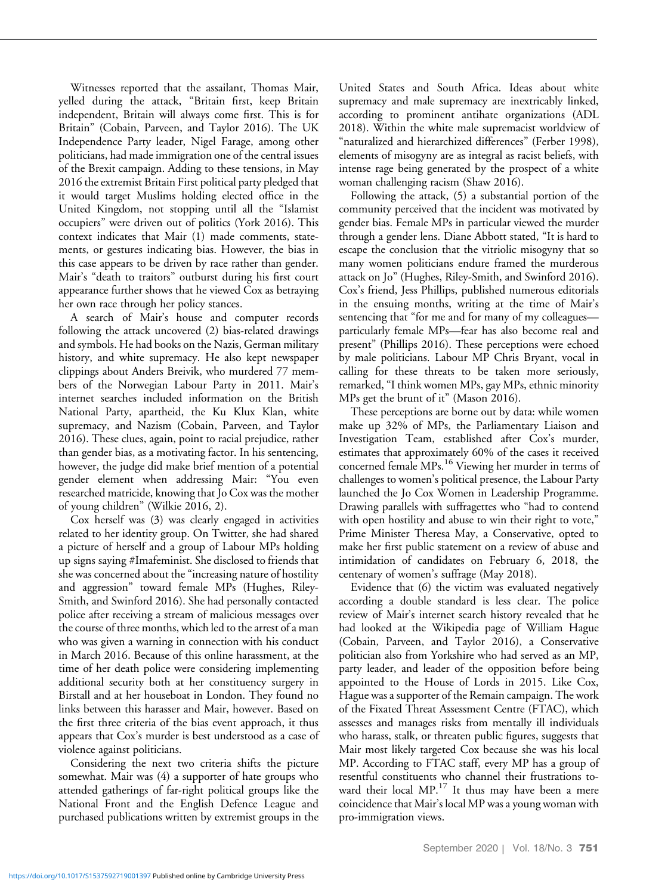Witnesses reported that the assailant, Thomas Mair, yelled during the attack, "Britain first, keep Britain independent, Britain will always come first. This is for Britain" (Cobain, Parveen, and Taylor 2016). The UK Independence Party leader, Nigel Farage, among other politicians, had made immigration one of the central issues of the Brexit campaign. Adding to these tensions, in May 2016 the extremist Britain First political party pledged that it would target Muslims holding elected office in the United Kingdom, not stopping until all the "Islamist occupiers" were driven out of politics (York 2016). This context indicates that Mair (1) made comments, statements, or gestures indicating bias. However, the bias in this case appears to be driven by race rather than gender. Mair's "death to traitors" outburst during his first court appearance further shows that he viewed Cox as betraying her own race through her policy stances.

A search of Mair's house and computer records following the attack uncovered (2) bias-related drawings and symbols. He had books on the Nazis, German military history, and white supremacy. He also kept newspaper clippings about Anders Breivik, who murdered 77 members of the Norwegian Labour Party in 2011. Mair's internet searches included information on the British National Party, apartheid, the Ku Klux Klan, white supremacy, and Nazism (Cobain, Parveen, and Taylor 2016). These clues, again, point to racial prejudice, rather than gender bias, as a motivating factor. In his sentencing, however, the judge did make brief mention of a potential gender element when addressing Mair: "You even researched matricide, knowing that Jo Cox was the mother of young children" (Wilkie 2016, 2).

Cox herself was (3) was clearly engaged in activities related to her identity group. On Twitter, she had shared a picture of herself and a group of Labour MPs holding up signs saying #Imafeminist. She disclosed to friends that she was concerned about the "increasing nature of hostility and aggression" toward female MPs (Hughes, Riley-Smith, and Swinford 2016). She had personally contacted police after receiving a stream of malicious messages over the course of three months, which led to the arrest of a man who was given a warning in connection with his conduct in March 2016. Because of this online harassment, at the time of her death police were considering implementing additional security both at her constituency surgery in Birstall and at her houseboat in London. They found no links between this harasser and Mair, however. Based on the first three criteria of the bias event approach, it thus appears that Cox's murder is best understood as a case of violence against politicians.

Considering the next two criteria shifts the picture somewhat. Mair was (4) a supporter of hate groups who attended gatherings of far-right political groups like the National Front and the English Defence League and purchased publications written by extremist groups in the

United States and South Africa. Ideas about white supremacy and male supremacy are inextricably linked, according to prominent antihate organizations (ADL 2018). Within the white male supremacist worldview of "naturalized and hierarchized differences" (Ferber 1998), elements of misogyny are as integral as racist beliefs, with intense rage being generated by the prospect of a white woman challenging racism (Shaw 2016).

Following the attack, (5) a substantial portion of the community perceived that the incident was motivated by gender bias. Female MPs in particular viewed the murder through a gender lens. Diane Abbott stated, "It is hard to escape the conclusion that the vitriolic misogyny that so many women politicians endure framed the murderous attack on Jo" (Hughes, Riley-Smith, and Swinford 2016). Cox's friend, Jess Phillips, published numerous editorials in the ensuing months, writing at the time of Mair's sentencing that "for me and for many of my colleagues particularly female MPs—fear has also become real and present" (Phillips 2016). These perceptions were echoed by male politicians. Labour MP Chris Bryant, vocal in calling for these threats to be taken more seriously, remarked,"I think women MPs, gay MPs, ethnic minority MPs get the brunt of it" (Mason 2016).

These perceptions are borne out by data: while women make up 32% of MPs, the Parliamentary Liaison and Investigation Team, established after Cox's murder, estimates that approximately 60% of the cases it received concerned female MPs.<sup>16</sup> Viewing her murder in terms of challenges to women's political presence, the Labour Party launched the Jo Cox Women in Leadership Programme. Drawing parallels with suffragettes who "had to contend with open hostility and abuse to win their right to vote," Prime Minister Theresa May, a Conservative, opted to make her first public statement on a review of abuse and intimidation of candidates on February 6, 2018, the centenary of women's suffrage (May 2018).

Evidence that (6) the victim was evaluated negatively according a double standard is less clear. The police review of Mair's internet search history revealed that he had looked at the Wikipedia page of William Hague (Cobain, Parveen, and Taylor 2016), a Conservative politician also from Yorkshire who had served as an MP, party leader, and leader of the opposition before being appointed to the House of Lords in 2015. Like Cox, Hague was a supporter of the Remain campaign. The work of the Fixated Threat Assessment Centre (FTAC), which assesses and manages risks from mentally ill individuals who harass, stalk, or threaten public figures, suggests that Mair most likely targeted Cox because she was his local MP. According to FTAC staff, every MP has a group of resentful constituents who channel their frustrations toward their local  $MP.^{17}$  It thus may have been a mere coincidence that Mair's local MP was a young woman with pro-immigration views.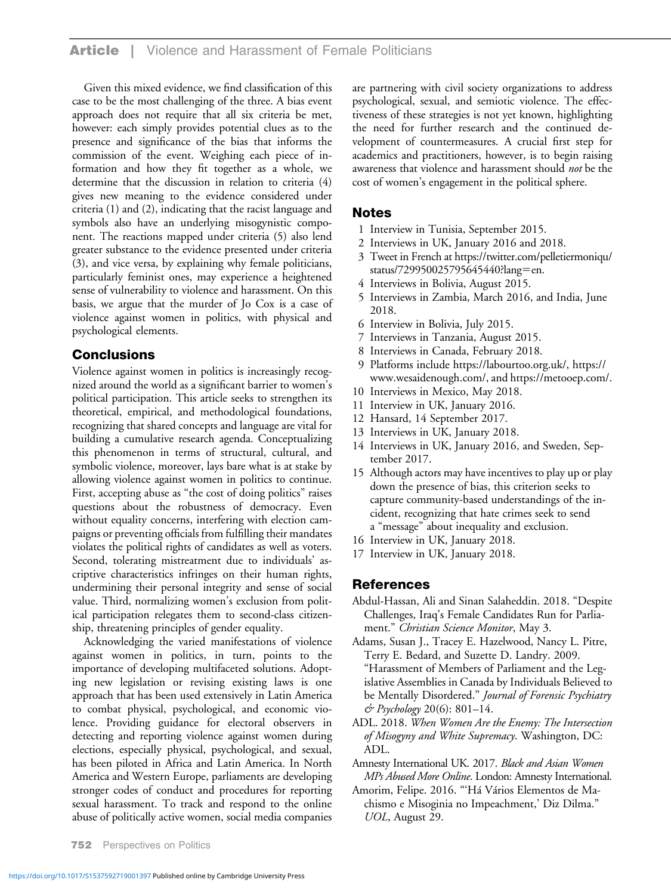# **Article** | Violence and Harassment of Female Politicians

Given this mixed evidence, we find classification of this case to be the most challenging of the three. A bias event approach does not require that all six criteria be met, however: each simply provides potential clues as to the presence and significance of the bias that informs the commission of the event. Weighing each piece of information and how they fit together as a whole, we determine that the discussion in relation to criteria (4) gives new meaning to the evidence considered under criteria (1) and (2), indicating that the racist language and symbols also have an underlying misogynistic component. The reactions mapped under criteria (5) also lend greater substance to the evidence presented under criteria (3), and vice versa, by explaining why female politicians, particularly feminist ones, may experience a heightened sense of vulnerability to violence and harassment. On this basis, we argue that the murder of Jo Cox is a case of violence against women in politics, with physical and psychological elements.

# **Conclusions**

Violence against women in politics is increasingly recognized around the world as a significant barrier to women's political participation. This article seeks to strengthen its theoretical, empirical, and methodological foundations, recognizing that shared concepts and language are vital for building a cumulative research agenda. Conceptualizing this phenomenon in terms of structural, cultural, and symbolic violence, moreover, lays bare what is at stake by allowing violence against women in politics to continue. First, accepting abuse as "the cost of doing politics" raises questions about the robustness of democracy. Even without equality concerns, interfering with election campaigns or preventing officials from fulfilling their mandates violates the political rights of candidates as well as voters. Second, tolerating mistreatment due to individuals' ascriptive characteristics infringes on their human rights, undermining their personal integrity and sense of social value. Third, normalizing women's exclusion from political participation relegates them to second-class citizenship, threatening principles of gender equality.

Acknowledging the varied manifestations of violence against women in politics, in turn, points to the importance of developing multifaceted solutions. Adopting new legislation or revising existing laws is one approach that has been used extensively in Latin America to combat physical, psychological, and economic violence. Providing guidance for electoral observers in detecting and reporting violence against women during elections, especially physical, psychological, and sexual, has been piloted in Africa and Latin America. In North America and Western Europe, parliaments are developing stronger codes of conduct and procedures for reporting sexual harassment. To track and respond to the online abuse of politically active women, social media companies are partnering with civil society organizations to address psychological, sexual, and semiotic violence. The effectiveness of these strategies is not yet known, highlighting the need for further research and the continued development of countermeasures. A crucial first step for academics and practitioners, however, is to begin raising awareness that violence and harassment should not be the cost of women's engagement in the political sphere.

# Notes

- 1 Interview in Tunisia, September 2015.
- 2 Interviews in UK, January 2016 and 2018.
- 3 Tweet in French at [https://twitter.com/pelletiermoniqu/](https://twitter.com/pelletiermoniqu/status/729950025795645440?lang=en) [status/729950025795645440?lang](https://twitter.com/pelletiermoniqu/status/729950025795645440?lang=en)=[en.](https://twitter.com/pelletiermoniqu/status/729950025795645440?lang=en)
- 4 Interviews in Bolivia, August 2015.
- 5 Interviews in Zambia, March 2016, and India, June 2018.
- 6 Interview in Bolivia, July 2015.
- 7 Interviews in Tanzania, August 2015.
- 8 Interviews in Canada, February 2018.
- 9 Platforms include<https://labourtoo.org.uk/>, [https://](https://www.wesaidenough.com/) [www.wesaidenough.com/](https://www.wesaidenough.com/), and<https://metooep.com/>.
- 10 Interviews in Mexico, May 2018.
- 11 Interview in UK, January 2016.
- 12 Hansard, 14 September 2017.
- 13 Interviews in UK, January 2018.
- 14 Interviews in UK, January 2016, and Sweden, September 2017.
- 15 Although actors may have incentives to play up or play down the presence of bias, this criterion seeks to capture community-based understandings of the incident, recognizing that hate crimes seek to send a "message" about inequality and exclusion.
- 16 Interview in UK, January 2018.
- 17 Interview in UK, January 2018.

# References

- Abdul-Hassan, Ali and Sinan Salaheddin. 2018. "Despite Challenges, Iraq's Female Candidates Run for Parliament." Christian Science Monitor, May 3.
- Adams, Susan J., Tracey E. Hazelwood, Nancy L. Pitre, Terry E. Bedard, and Suzette D. Landry. 2009. "Harassment of Members of Parliament and the Legislative Assemblies in Canada by Individuals Believed to be Mentally Disordered." Journal of Forensic Psychiatry  $\mathcal O$  Psychology 20(6): 801–14.
- ADL. 2018. When Women Are the Enemy: The Intersection of Misogyny and White Supremacy. Washington, DC: ADL.
- Amnesty International UK. 2017. Black and Asian Women MPs Abused More Online. London: Amnesty International.
- Amorim, Felipe. 2016. "'Há Vários Elementos de Machismo e Misoginia no Impeachment,' Diz Dilma." UOL, August 29.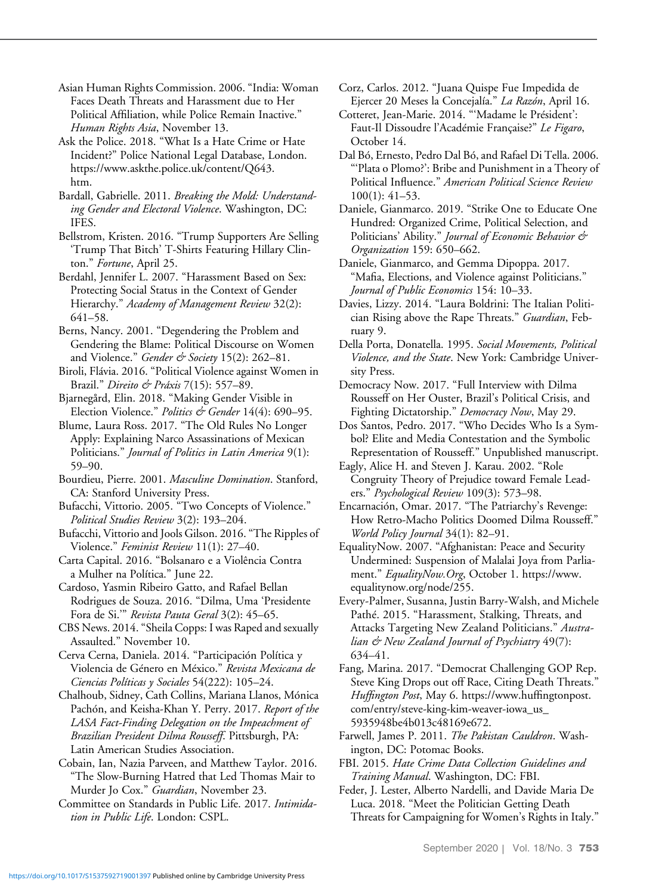Asian Human Rights Commission. 2006. "India: Woman Faces Death Threats and Harassment due to Her Political Affiliation, while Police Remain Inactive." Human Rights Asia, November 13.

Ask the Police. 2018. "What Is a Hate Crime or Hate Incident?" Police National Legal Database, London. [https://www.askthe.police.uk/content/Q643.](https://www.askthe.police.uk/content/Q643.htm) [htm](https://www.askthe.police.uk/content/Q643.htm).

Bardall, Gabrielle. 2011. Breaking the Mold: Understanding Gender and Electoral Violence. Washington, DC: IFES.

Bellstrom, Kristen. 2016. "Trump Supporters Are Selling 'Trump That Bitch' T-Shirts Featuring Hillary Clinton." Fortune, April 25.

Berdahl, Jennifer L. 2007. "Harassment Based on Sex: Protecting Social Status in the Context of Gender Hierarchy." Academy of Management Review 32(2): 641–58.

Berns, Nancy. 2001. "Degendering the Problem and Gendering the Blame: Political Discourse on Women and Violence." Gender & Society 15(2): 262-81.

Biroli, Flávia. 2016. "Political Violence against Women in Brazil." Direito & Práxis 7(15): 557-89.

Bjarnegård, Elin. 2018. "Making Gender Visible in Election Violence." Politics & Gender 14(4): 690-95.

Blume, Laura Ross. 2017. "The Old Rules No Longer Apply: Explaining Narco Assassinations of Mexican Politicians." Journal of Politics in Latin America 9(1): 59–90.

Bourdieu, Pierre. 2001. Masculine Domination. Stanford, CA: Stanford University Press.

Bufacchi, Vittorio. 2005. "Two Concepts of Violence." Political Studies Review 3(2): 193–204.

Bufacchi, Vittorio and Jools Gilson. 2016."The Ripples of Violence." Feminist Review 11(1): 27–40.

Carta Capital. 2016. "Bolsanaro e a Violência Contra a Mulher na Política." June 22.

Cardoso, Yasmin Ribeiro Gatto, and Rafael Bellan Rodrigues de Souza. 2016. "Dilma, Uma 'Presidente Fora de Si.'" Revista Pauta Geral 3(2): 45–65.

CBS News. 2014."Sheila Copps: I was Raped and sexually Assaulted." November 10.

Cerva Cerna, Daniela. 2014. "Participación Política y Violencia de Género en México." Revista Mexicana de Ciencias Políticas y Sociales 54(222): 105–24.

Chalhoub, Sidney, Cath Collins, Mariana Llanos, Mónica Pachón, and Keisha-Khan Y. Perry. 2017. Report of the LASA Fact-Finding Delegation on the Impeachment of Brazilian President Dilma Rousseff. Pittsburgh, PA: Latin American Studies Association.

Cobain, Ian, Nazia Parveen, and Matthew Taylor. 2016. "The Slow-Burning Hatred that Led Thomas Mair to Murder Jo Cox." Guardian, November 23.

Committee on Standards in Public Life. 2017. Intimidation in Public Life. London: CSPL.

Corz, Carlos. 2012. "Juana Quispe Fue Impedida de Ejercer 20 Meses la Concejalía." La Razón, April 16.

Cotteret, Jean-Marie. 2014. "'Madame le Président': Faut-Il Dissoudre l'Académie Française?" Le Figaro, October 14.

Dal Bó, Ernesto, Pedro Dal Bó, and Rafael Di Tella. 2006. "'Plata o Plomo?': Bribe and Punishment in a Theory of Political Influence." American Political Science Review 100(1): 41–53.

Daniele, Gianmarco. 2019. "Strike One to Educate One Hundred: Organized Crime, Political Selection, and Politicians' Ability." Journal of Economic Behavior & Organization 159: 650–662.

Daniele, Gianmarco, and Gemma Dipoppa. 2017. "Mafia, Elections, and Violence against Politicians." Journal of Public Economics 154: 10–33.

Davies, Lizzy. 2014. "Laura Boldrini: The Italian Politician Rising above the Rape Threats." Guardian, February 9.

Della Porta, Donatella. 1995. Social Movements, Political Violence, and the State. New York: Cambridge University Press.

Democracy Now. 2017. "Full Interview with Dilma Rousseff on Her Ouster, Brazil's Political Crisis, and Fighting Dictatorship." Democracy Now, May 29.

Dos Santos, Pedro. 2017. "Who Decides Who Is a Symbol? Elite and Media Contestation and the Symbolic Representation of Rousseff." Unpublished manuscript.

Eagly, Alice H. and Steven J. Karau. 2002. "Role Congruity Theory of Prejudice toward Female Leaders." Psychological Review 109(3): 573–98.

Encarnación, Omar. 2017. "The Patriarchy's Revenge: How Retro-Macho Politics Doomed Dilma Rousseff." World Policy Journal 34(1): 82–91.

EqualityNow. 2007. "Afghanistan: Peace and Security Undermined: Suspension of Malalai Joya from Parliament." EqualityNow.Org, October 1. [https://www.](https://www.equalitynow.org/node/255) [equalitynow.org/node/255](https://www.equalitynow.org/node/255).

Every-Palmer, Susanna, Justin Barry-Walsh, and Michele Pathé. 2015. "Harassment, Stalking, Threats, and Attacks Targeting New Zealand Politicians." Australian & New Zealand Journal of Psychiatry 49(7): 634–41.

Fang, Marina. 2017. "Democrat Challenging GOP Rep. Steve King Drops out off Race, Citing Death Threats." Huffington Post, May 6. [https://www.huf](https://www.huffingtonpost.com/entry/steve-king-kim-weaver-iowa_us_5935948be4b013c48169e672)fingtonpost. [com/entry/steve-king-kim-weaver-iowa\\_us\\_](https://www.huffingtonpost.com/entry/steve-king-kim-weaver-iowa_us_5935948be4b013c48169e672) [5935948be4b013c48169e672.](https://www.huffingtonpost.com/entry/steve-king-kim-weaver-iowa_us_5935948be4b013c48169e672)

Farwell, James P. 2011. The Pakistan Cauldron. Washington, DC: Potomac Books.

FBI. 2015. Hate Crime Data Collection Guidelines and Training Manual. Washington, DC: FBI.

Feder, J. Lester, Alberto Nardelli, and Davide Maria De Luca. 2018. "Meet the Politician Getting Death Threats for Campaigning for Women's Rights in Italy."

September 2020 | Vol. 18/No. 3 753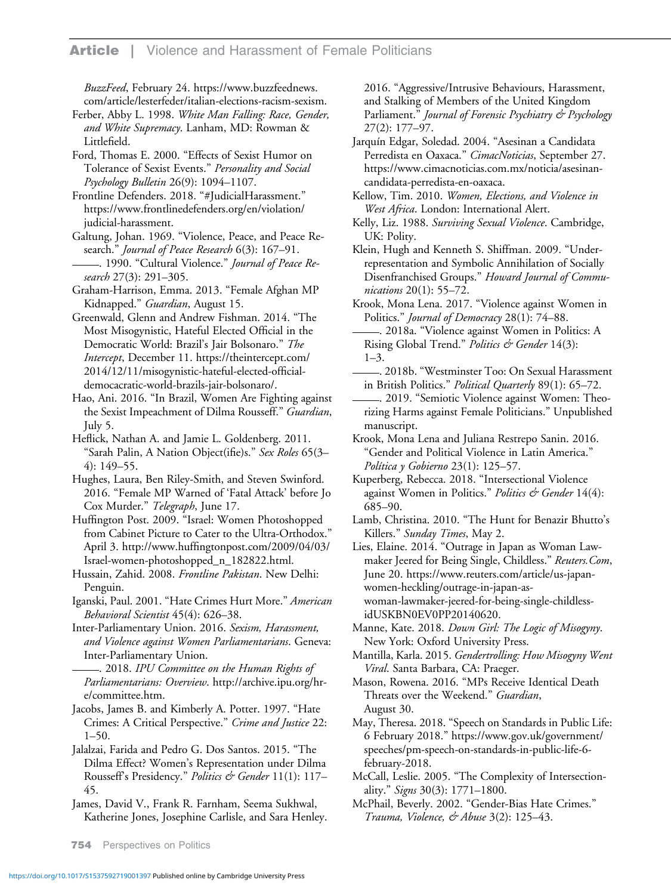BuzzFeed, February 24. [https://www.buzzfeednews.](https://www.buzzfeednews.com/article/lesterfeder/italian-elections-racism-sexism) [com/article/lesterfeder/italian-elections-racism-sexism.](https://www.buzzfeednews.com/article/lesterfeder/italian-elections-racism-sexism)

Ferber, Abby L. 1998. White Man Falling: Race, Gender, and White Supremacy. Lanham, MD: Rowman & Littlefield.

Ford, Thomas E. 2000. "Effects of Sexist Humor on Tolerance of Sexist Events." Personality and Social Psychology Bulletin 26(9): 1094–1107.

Frontline Defenders. 2018. "#JudicialHarassment." [https://www.frontlinedefenders.org/en/violation/](https://www.frontlinedefenders.org/en/violation/judicial-harassment) [judicial-harassment](https://www.frontlinedefenders.org/en/violation/judicial-harassment).

Galtung, Johan. 1969. "Violence, Peace, and Peace Research." Journal of Peace Research 6(3): 167–91. -. 1990. "Cultural Violence." *Journal of Peace Re-*

search 27(3): 291–305.

Graham-Harrison, Emma. 2013. "Female Afghan MP Kidnapped." Guardian, August 15.

Greenwald, Glenn and Andrew Fishman. 2014. "The Most Misogynistic, Hateful Elected Official in the Democratic World: Brazil's Jair Bolsonaro." The Intercept, December 11. [https://theintercept.com/](https://theintercept.com/2014/12/11/misogynistic-hateful-elected-official-democacratic-world-brazils-jair-bolsonaro/) [2014/12/11/misogynistic-hateful-elected-of](https://theintercept.com/2014/12/11/misogynistic-hateful-elected-official-democacratic-world-brazils-jair-bolsonaro/)ficial[democacratic-world-brazils-jair-bolsonaro/.](https://theintercept.com/2014/12/11/misogynistic-hateful-elected-official-democacratic-world-brazils-jair-bolsonaro/)

Hao, Ani. 2016. "In Brazil, Women Are Fighting against the Sexist Impeachment of Dilma Rousseff." Guardian, July 5.

Heflick, Nathan A. and Jamie L. Goldenberg. 2011. "Sarah Palin, A Nation Object(ifie)s." Sex Roles 65(3-4): 149–55.

Hughes, Laura, Ben Riley-Smith, and Steven Swinford. 2016. "Female MP Warned of 'Fatal Attack' before Jo Cox Murder." Telegraph, June 17.

Huffington Post. 2009. "Israel: Women Photoshopped from Cabinet Picture to Cater to the Ultra-Orthodox." April 3. http://www.huffi[ngtonpost.com/2009/04/03/](http://www.huffingtonpost.com/2009/04/03/Israel-women-photoshopped_n_182822.html) [Israel-women-photoshopped\\_n\\_182822.html.](http://www.huffingtonpost.com/2009/04/03/Israel-women-photoshopped_n_182822.html)

Hussain, Zahid. 2008. Frontline Pakistan. New Delhi: Penguin.

Iganski, Paul. 2001. "Hate Crimes Hurt More." American Behavioral Scientist 45(4): 626–38.

Inter-Parliamentary Union. 2016. Sexism, Harassment, and Violence against Women Parliamentarians. Geneva: Inter-Parliamentary Union.

. 2018. IPU Committee on the Human Rights of Parliamentarians: Overview. [http://archive.ipu.org/hr](http://archive.ipu.org/hr-e/committee.htm)[e/committee.htm.](http://archive.ipu.org/hr-e/committee.htm)

Jacobs, James B. and Kimberly A. Potter. 1997. "Hate Crimes: A Critical Perspective." Crime and Justice 22:  $1-50.$ 

Jalalzai, Farida and Pedro G. Dos Santos. 2015. "The Dilma Effect? Women's Representation under Dilma Rousseff's Presidency." Politics & Gender 11(1): 117-45.

James, David V., Frank R. Farnham, Seema Sukhwal, Katherine Jones, Josephine Carlisle, and Sara Henley. 2016. "Aggressive/Intrusive Behaviours, Harassment, and Stalking of Members of the United Kingdom Parliament." *Journal of Forensic Psychiatry & Psychology* 27(2): 177–97.

Jarquín Edgar, Soledad. 2004. "Asesinan a Candidata Perredista en Oaxaca." CimacNoticias, September 27. [https://www.cimacnoticias.com.mx/noticia/asesinan](https://www.cimacnoticias.com.mx/noticia/asesinan-candidata-perredista-en-oaxaca)[candidata-perredista-en-oaxaca.](https://www.cimacnoticias.com.mx/noticia/asesinan-candidata-perredista-en-oaxaca)

Kellow, Tim. 2010. Women, Elections, and Violence in West Africa. London: International Alert.

Kelly, Liz. 1988. Surviving Sexual Violence. Cambridge, UK: Polity.

Klein, Hugh and Kenneth S. Shiffman. 2009. "Underrepresentation and Symbolic Annihilation of Socially Disenfranchised Groups." Howard Journal of Communications 20(1): 55–72.

Krook, Mona Lena. 2017. "Violence against Women in Politics." *Journal of Democracy* 28(1): 74–88.

. 2018a. "Violence against Women in Politics: A Rising Global Trend." Politics & Gender 14(3): 1–3.

. 2018b. "Westminster Too: On Sexual Harassment in British Politics." Political Quarterly 89(1): 65-72.

. 2019. "Semiotic Violence against Women: Theorizing Harms against Female Politicians." Unpublished manuscript.

Krook, Mona Lena and Juliana Restrepo Sanin. 2016. "Gender and Political Violence in Latin America." Política y Gobierno 23(1): 125–57.

Kuperberg, Rebecca. 2018. "Intersectional Violence against Women in Politics." Politics & Gender 14(4): 685–90.

Lamb, Christina. 2010. "The Hunt for Benazir Bhutto's Killers." Sunday Times, May 2.

Lies, Elaine. 2014. "Outrage in Japan as Woman Lawmaker Jeered for Being Single, Childless." Reuters. Com, June 20. [https://www.reuters.com/article/us-japan](https://www.reuters.com/article/us-japan-women-heckling/outrage-in-japan-as-woman-lawmaker-jeered-for-being-single-childless-idUSKBN0EV0PP20140620)[women-heckling/outrage-in-japan-as](https://www.reuters.com/article/us-japan-women-heckling/outrage-in-japan-as-woman-lawmaker-jeered-for-being-single-childless-idUSKBN0EV0PP20140620)[woman-lawmaker-jeered-for-being-single-childless](https://www.reuters.com/article/us-japan-women-heckling/outrage-in-japan-as-woman-lawmaker-jeered-for-being-single-childless-idUSKBN0EV0PP20140620)[idUSKBN0EV0PP20140620.](https://www.reuters.com/article/us-japan-women-heckling/outrage-in-japan-as-woman-lawmaker-jeered-for-being-single-childless-idUSKBN0EV0PP20140620)

Manne, Kate. 2018. Down Girl: The Logic of Misogyny. New York: Oxford University Press.

Mantilla, Karla. 2015. Gendertrolling: How Misogyny Went Viral. Santa Barbara, CA: Praeger.

Mason, Rowena. 2016. "MPs Receive Identical Death Threats over the Weekend." Guardian, August 30.

May, Theresa. 2018. "Speech on Standards in Public Life: 6 February 2018." [https://www.gov.uk/government/](https://www.gov.uk/government/speeches/pm-speech-on-standards-in-public-life-6-february-2018) [speeches/pm-speech-on-standards-in-public-life-6](https://www.gov.uk/government/speeches/pm-speech-on-standards-in-public-life-6-february-2018) [february-2018.](https://www.gov.uk/government/speeches/pm-speech-on-standards-in-public-life-6-february-2018)

McCall, Leslie. 2005. "The Complexity of Intersectionality." Signs 30(3): 1771–1800.

McPhail, Beverly. 2002. "Gender-Bias Hate Crimes." Trauma, Violence, & Abuse 3(2): 125–43.